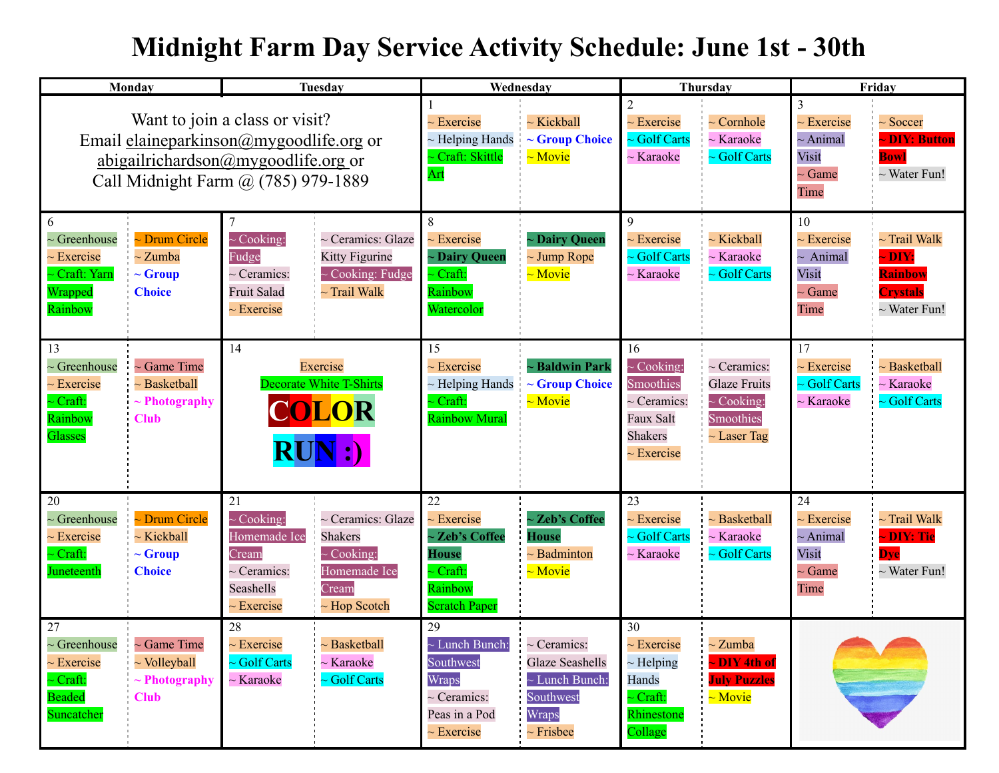## **Midnight Farm Day Service Activity Schedule: June 1st - 30th**

| Monday                                                                                                                                                                   | Tuesday                                                                                                                                                                                                    | Wednesday                                                                                                      |                                                                                                           | Thursday                                                                                                 |                                                                                             | Friday                                                                 |                                                                                |
|--------------------------------------------------------------------------------------------------------------------------------------------------------------------------|------------------------------------------------------------------------------------------------------------------------------------------------------------------------------------------------------------|----------------------------------------------------------------------------------------------------------------|-----------------------------------------------------------------------------------------------------------|----------------------------------------------------------------------------------------------------------|---------------------------------------------------------------------------------------------|------------------------------------------------------------------------|--------------------------------------------------------------------------------|
| Want to join a class or visit?<br>Email elaineparkinson@mygoodlife.org or<br><u>abigailrichardson@mygoodlife.org</u> or<br>Call Midnight Farm @ (785) 979-1889           |                                                                                                                                                                                                            | $\sim$ Exercise<br>$\sim$ Helping Hands<br>Craft: Skittle<br>Art                                               | $\sim$ Kickball<br>$\sim$ Group Choice<br>$\sim$ Movie                                                    | $\mathfrak{D}$<br>$\sim$ Exercise<br>$\sim$ Golf Carts<br>$\sim$ Karaoke                                 | $\sim$ Cornhole<br>$\sim$ Karaoke<br>$\sim$ Golf Carts                                      | 3<br>$\sim$ Exercise<br>$\sim$ Animal<br>Visit<br>$\sim$ Game<br>Time  | $\sim$ Soccer<br><b>- DIY: Button</b><br><b>Bowl</b><br>$\sim$ Water Fun!      |
| 6<br>~ Drum Circle<br>$\sim$ Greenhouse<br>$\sim$ Zumba<br>$\sim$ Exercise<br>- Craft: Yarn<br>$\sim$ Group<br>Wrapped<br><b>Choice</b><br>Rainbow                       | $\sim$ Cooking:<br>~ Ceramics: Glaze<br>Fudge<br>Kitty Figurine<br>$\sim$ Cooking: Fudge<br>$\sim$ Ceramics:<br>$\sim$ Trail Walk<br><b>Fruit Salad</b><br>$\sim$ Exercise                                 | 8<br>$\sim$ Exercise<br>~ Dairy Queen<br>$\sim$ Craft:<br>Rainbow<br>Watercolor                                | $\sim$ Dairy Queen<br>$\sim$ Jump Rope<br>$\sim$ Movie                                                    | $\mathbf Q$<br>$\sim$ Exercise<br>$\sim$ Golf Carts<br>$\sim$ Karaoke                                    | $\sim$ Kickball<br>$\sim$ Karaoke<br>~ Golf Carts                                           | 10<br>$\sim$ Exercise<br>$\sim$ Animal<br>Visit<br>$\sim$ Game<br>Time | $\sim$ Trail Walk<br>~ DIY:<br>Rainbow<br><b>Crystals</b><br>$\sim$ Water Fun! |
| 13<br>$\sim$ Greenhouse<br>~ Game Time<br>$\sim$ Basketball<br>$\sim$ Exercise<br>- Craft:<br>$\sim$ Photography<br>Rainbow<br><b>Club</b><br>Glasses                    | 14<br>Exercise<br><b>Decorate White T-Shirts</b><br>COLOR<br>$\overline{\mathrm{RUN}}$ :)                                                                                                                  | 15<br>$\sim$ Exercise<br>$\sim$ Helping Hands<br>$\sim$ Craft:<br><b>Rainbow Mural</b>                         | $\sim$ Baldwin Park<br>$\sim$ Group Choice<br>$\sim$ Movie                                                | 16<br>$\sim$ Cooking:<br>Smoothies<br>$\sim$ Ceramics:<br>Faux Salt<br><b>Shakers</b><br>$\sim$ Exercise | $\sim$ Ceramics:<br><b>Glaze Fruits</b><br>$\sim$ Cooking:<br>Smoothies<br>$\sim$ Laser Tag | 17<br>$\sim$ Exercise<br>$\sim$ Golf Carts<br>$\sim$ Karaoke           | $\sim$ Basketball<br>$\sim$ Karaoke<br>$\sim$ Golf Carts                       |
| 20<br>Drum Circle<br>$\sim$ Greenhouse<br>$\sim$ Kickball<br>$\sim$ Exercise<br>$\sim$ Craft:<br>$\sim$ Group<br>Juneteenth<br><b>Choice</b>                             | 21<br>$\sim$ Cooking:<br>~ Ceramics: Glaze<br>Homemade Ice<br><b>Shakers</b><br>$\sim$ Cooking:<br>Cream<br>Homemade Ice<br>$\sim$ Ceramics:<br>Seashells<br>Cream<br>$\sim$ Hop Scotch<br>$\sim$ Exercise | 22<br>$\sim$ Exercise<br>~ Zeb's Coffee<br>House<br>$\sim$ Craft:<br>Rainbow<br><b>Scratch Paper</b>           | $\sim$ Zeb's Coffee<br><b>House</b><br>$\sim$ Badminton<br>$\sim$ Movie                                   | 23<br>$\sim$ Exercise<br>$\sim$ Golf Carts<br>$\sim$ Karaoke                                             | $\sim$ Basketball<br>$\sim$ Karaoke<br>$\sim$ Golf Carts                                    | 24<br>$\sim$ Exercise<br>$\sim$ Animal<br>Visit<br>$\sim$ Game<br>Time | $\sim$ Trail Walk<br>~ DIY: Tie<br><b>Dve</b><br>$\sim$ Water Fun!             |
| 27<br>$\sim$ Greenhouse<br>$\sim$ Game Time<br>$\sim$ Volleyball<br>$\sim$ Exercise<br>$\sim$ Craft:<br>$\sim$ Photography<br><b>Beaded</b><br><b>Club</b><br>Suncatcher | 28<br>$\sim$ Exercise<br>$\sim$ Basketball<br>$\sim$ Golf Carts<br>$\sim$ Karaoke<br>$\sim$ Golf Carts<br>$\sim$ Karaoke                                                                                   | 29<br>$\sim$ Lunch Bunch:<br>Southwest<br><b>Wraps</b><br>$\sim$ Ceramics:<br>Peas in a Pod<br>$\sim$ Exercise | $\sim$ Ceramics:<br><b>Glaze Seashells</b><br>$\sim$ Lunch Bunch:<br>Southwest<br>Wraps<br>$\sim$ Frisbee | 30<br>$\sim$ Exercise<br>$\sim$ Helping<br>Hands<br>$\sim$ Craft:<br>Rhinestone<br>Collage               | $\sim$ Zumba<br>~DIY 4th of<br><b>July Puzzles</b><br>$\sim$ Movie                          |                                                                        |                                                                                |